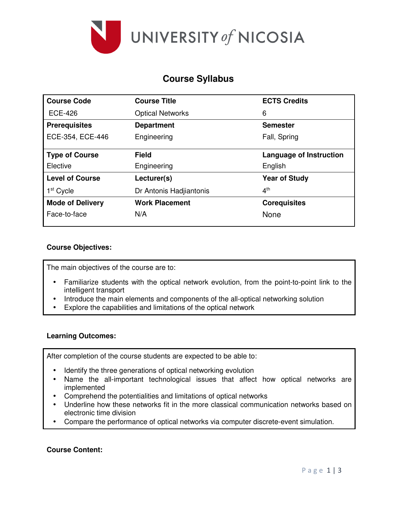

# **Course Syllabus**

| <b>Course Code</b>      | <b>Course Title</b>     | <b>ECTS Credits</b>     |
|-------------------------|-------------------------|-------------------------|
| <b>ECE-426</b>          | <b>Optical Networks</b> | 6                       |
| <b>Prerequisites</b>    | <b>Department</b>       | <b>Semester</b>         |
| ECE-354, ECE-446        | Engineering             | Fall, Spring            |
| <b>Type of Course</b>   | <b>Field</b>            | Language of Instruction |
| Elective                | Engineering             | English                 |
| <b>Level of Course</b>  | Lecturer(s)             | <b>Year of Study</b>    |
| 1 <sup>st</sup> Cycle   | Dr Antonis Hadjiantonis | 4 <sup>th</sup>         |
| <b>Mode of Delivery</b> | <b>Work Placement</b>   | <b>Corequisites</b>     |
| Face-to-face            | N/A                     | None                    |

# **Course Objectives:**

The main objectives of the course are to:

- Familiarize students with the optical network evolution, from the point-to-point link to the intelligent transport
- Introduce the main elements and components of the all-optical networking solution
- Explore the capabilities and limitations of the optical network

# **Learning Outcomes:**

After completion of the course students are expected to be able to:

- Identify the three generations of optical networking evolution
- Name the all-important technological issues that affect how optical networks are implemented
- Comprehend the potentialities and limitations of optical networks
- Underline how these networks fit in the more classical communication networks based on electronic time division
- Compare the performance of optical networks via computer discrete-event simulation.

# **Course Content:**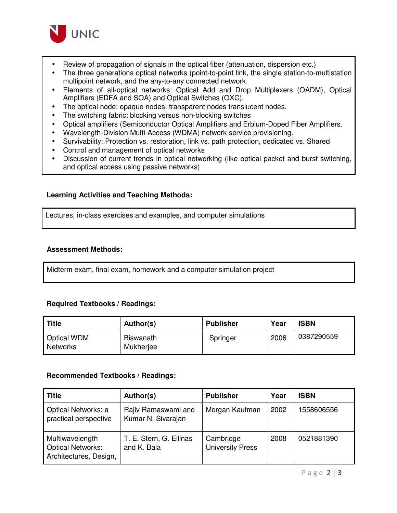

- Review of propagation of signals in the optical fiber (attenuation, dispersion etc.)
- The three generations optical networks (point-to-point link, the single station-to-multistation multipoint network, and the any-to-any connected network.
- Elements of all-optical networks: Optical Add and Drop Multiplexers (OADM), Optical Amplifiers (EDFA and SOA) and Optical Switches (OXC).
- The optical node: opaque nodes, transparent nodes translucent nodes.
- The switching fabric: blocking versus non-blocking switches
- Optical amplifiers (Semiconductor Optical Amplifiers and Erbium-Doped Fiber Amplifiers.
- Wavelength-Division Multi-Access (WDMA) network service provisioning.
- Survivability: Protection vs. restoration, link vs. path protection, dedicated vs. Shared
- Control and management of optical networks
- Discussion of current trends in optical networking (like optical packet and burst switching, and optical access using passive networks)

# **Learning Activities and Teaching Methods:**

Lectures, in-class exercises and examples, and computer simulations

# **Assessment Methods:**

Midterm exam, final exam, homework and a computer simulation project

# **Required Textbooks / Readings:**

| <b>Title</b>                          | Author(s)              | <b>Publisher</b> | Year | <b>ISBN</b> |
|---------------------------------------|------------------------|------------------|------|-------------|
| <b>Optical WDM</b><br><b>Networks</b> | Biswanath<br>Mukherjee | Springer         | 2006 | 0387290559  |

# **Recommended Textbooks / Readings:**

| <b>Title</b>                                                          | Author(s)                                 | <b>Publisher</b>                     | Year | <b>ISBN</b> |
|-----------------------------------------------------------------------|-------------------------------------------|--------------------------------------|------|-------------|
| Optical Networks: a<br>practical perspective                          | Rajiv Ramaswami and<br>Kumar N. Sivarajan | Morgan Kaufman                       | 2002 | 1558606556  |
| Multiwavelength<br><b>Optical Networks:</b><br>Architectures, Design, | T. E. Stern, G. Ellinas<br>and K. Bala    | Cambridge<br><b>University Press</b> | 2008 | 0521881390  |